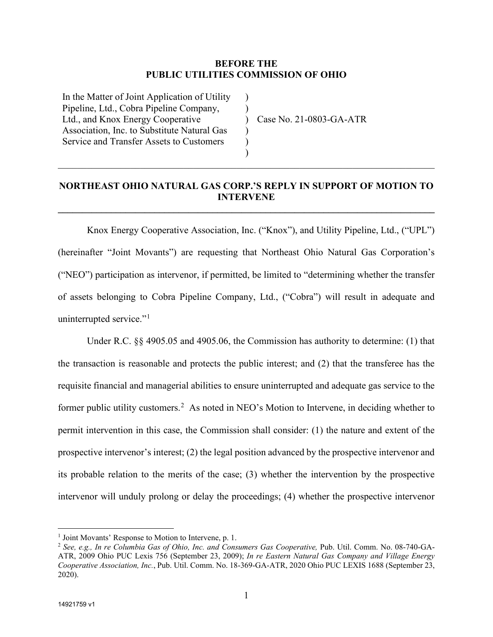## **BEFORE THE PUBLIC UTILITIES COMMISSION OF OHIO**

) ) )  $\lambda$ ) )

In the Matter of Joint Application of Utility Pipeline, Ltd., Cobra Pipeline Company, Ltd., and Knox Energy Cooperative Association, Inc. to Substitute Natural Gas Service and Transfer Assets to Customers

Case No. 21-0803-GA-ATR

## **NORTHEAST OHIO NATURAL GAS CORP.'S REPLY IN SUPPORT OF MOTION TO INTERVENE**

**\_\_\_\_\_\_\_\_\_\_\_\_\_\_\_\_\_\_\_\_\_\_\_\_\_\_\_\_\_\_\_\_\_\_\_\_\_\_\_\_\_\_\_\_\_\_\_\_\_\_\_\_\_\_\_\_\_\_\_\_\_\_\_\_\_\_\_\_\_\_\_\_\_\_\_\_\_\_**

\_\_\_\_\_\_\_\_\_\_\_\_\_\_\_\_\_\_\_\_\_\_\_\_\_\_\_\_\_\_\_\_\_\_\_\_\_\_\_\_\_\_\_\_\_\_\_\_\_\_\_\_\_\_\_\_\_\_\_\_\_\_\_\_\_\_\_\_\_\_\_\_\_\_\_\_\_\_

Knox Energy Cooperative Association, Inc. ("Knox"), and Utility Pipeline, Ltd., ("UPL") (hereinafter "Joint Movants") are requesting that Northeast Ohio Natural Gas Corporation's ("NEO") participation as intervenor, if permitted, be limited to "determining whether the transfer of assets belonging to Cobra Pipeline Company, Ltd., ("Cobra") will result in adequate and uninterrupted service."<sup>[1](#page-0-1)</sup>

Under R.C. §§ 4905.05 and 4905.06, the Commission has authority to determine: (1) that the transaction is reasonable and protects the public interest; and (2) that the transferee has the requisite financial and managerial abilities to ensure uninterrupted and adequate gas service to the former public utility customers.<sup>[2](#page-0-0)</sup> As noted in NEO's Motion to Intervene, in deciding whether to permit intervention in this case, the Commission shall consider: (1) the nature and extent of the prospective intervenor's interest; (2) the legal position advanced by the prospective intervenor and its probable relation to the merits of the case; (3) whether the intervention by the prospective intervenor will unduly prolong or delay the proceedings; (4) whether the prospective intervenor

<span id="page-0-1"></span><sup>&</sup>lt;sup>1</sup> Joint Movants' Response to Motion to Intervene, p. 1.

<span id="page-0-0"></span><sup>2</sup> *See, e.g., In re Columbia Gas of Ohio, Inc. and Consumers Gas Cooperative,* Pub. Util. Comm. No. 08-740-GA-ATR, 2009 Ohio PUC Lexis 756 (September 23, 2009); *In re Eastern Natural Gas Company and Village Energy Cooperative Association, Inc.*, Pub. Util. Comm. No. 18-369-GA-ATR, 2020 Ohio PUC LEXIS 1688 (September 23, 2020).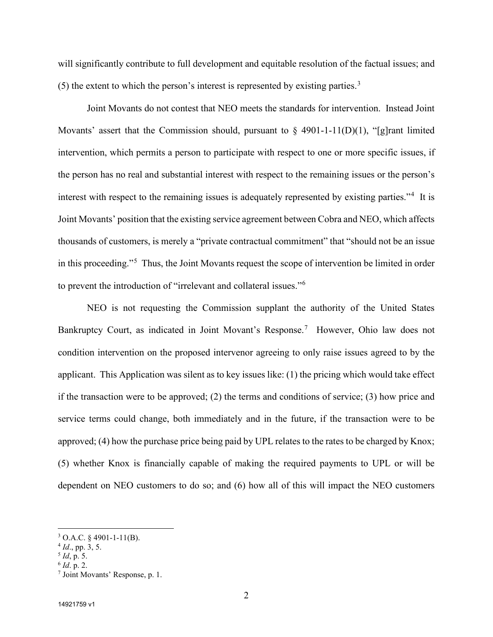will significantly contribute to full development and equitable resolution of the factual issues; and (5) the extent to which the person's interest is represented by existing parties.<sup>[3](#page-1-3)</sup>

Joint Movants do not contest that NEO meets the standards for intervention. Instead Joint Movants' assert that the Commission should, pursuant to  $\S$  4901-1-11(D)(1), "[g]rant limited intervention, which permits a person to participate with respect to one or more specific issues, if the person has no real and substantial interest with respect to the remaining issues or the person's interest with respect to the remaining issues is adequately represented by existing parties."<sup>[4](#page-1-4)</sup> It is Joint Movants' position that the existing service agreement between Cobra and NEO, which affects thousands of customers, is merely a "private contractual commitment" that "should not be an issue in this proceeding."<sup>[5](#page-1-2)</sup> Thus, the Joint Movants request the scope of intervention be limited in order to prevent the introduction of "irrelevant and collateral issues."<sup>[6](#page-1-0)</sup>

NEO is not requesting the Commission supplant the authority of the United States Bankruptcy Court, as indicated in Joint Movant's Response.<sup>[7](#page-1-1)</sup> However, Ohio law does not condition intervention on the proposed intervenor agreeing to only raise issues agreed to by the applicant. This Application was silent as to key issues like: (1) the pricing which would take effect if the transaction were to be approved; (2) the terms and conditions of service; (3) how price and service terms could change, both immediately and in the future, if the transaction were to be approved; (4) how the purchase price being paid by UPL relates to the rates to be charged by Knox; (5) whether Knox is financially capable of making the required payments to UPL or will be dependent on NEO customers to do so; and (6) how all of this will impact the NEO customers

<span id="page-1-3"></span> $3$  O.A.C. § 4901-1-11(B).

<span id="page-1-4"></span><sup>4</sup> *Id*., pp. 3, 5.

<span id="page-1-2"></span><sup>5</sup> *Id*, p. 5.

<span id="page-1-0"></span><sup>6</sup> *Id*. p. 2.

<span id="page-1-1"></span><sup>7</sup> Joint Movants' Response, p. 1.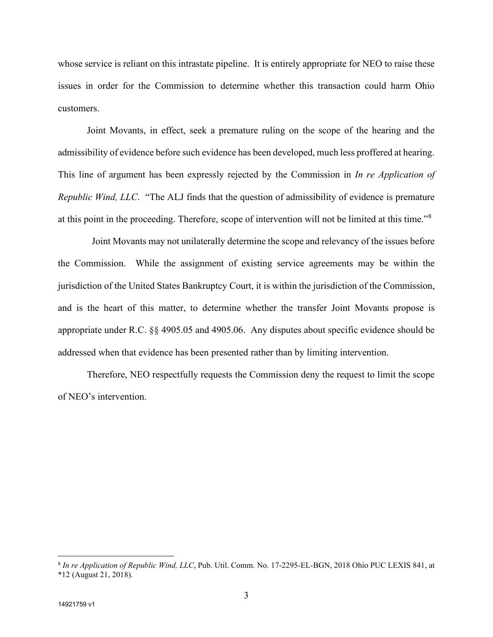whose service is reliant on this intrastate pipeline. It is entirely appropriate for NEO to raise these issues in order for the Commission to determine whether this transaction could harm Ohio customers.

Joint Movants, in effect, seek a premature ruling on the scope of the hearing and the admissibility of evidence before such evidence has been developed, much less proffered at hearing. This line of argument has been expressly rejected by the Commission in *In re Application of Republic Wind, LLC*. "The ALJ finds that the question of admissibility of evidence is premature at this point in the proceeding. Therefore, scope of intervention will not be limited at this time."<sup>[8](#page-2-0)</sup>

Joint Movants may not unilaterally determine the scope and relevancy of the issues before the Commission. While the assignment of existing service agreements may be within the jurisdiction of the United States Bankruptcy Court, it is within the jurisdiction of the Commission, and is the heart of this matter, to determine whether the transfer Joint Movants propose is appropriate under R.C. §§ 4905.05 and 4905.06. Any disputes about specific evidence should be addressed when that evidence has been presented rather than by limiting intervention.

Therefore, NEO respectfully requests the Commission deny the request to limit the scope of NEO's intervention.

<span id="page-2-0"></span><sup>8</sup> *In re Application of Republic Wind, LLC*, Pub. Util. Comm. No. 17-2295-EL-BGN, 2018 Ohio PUC LEXIS 841, at \*12 (August 21, 2018).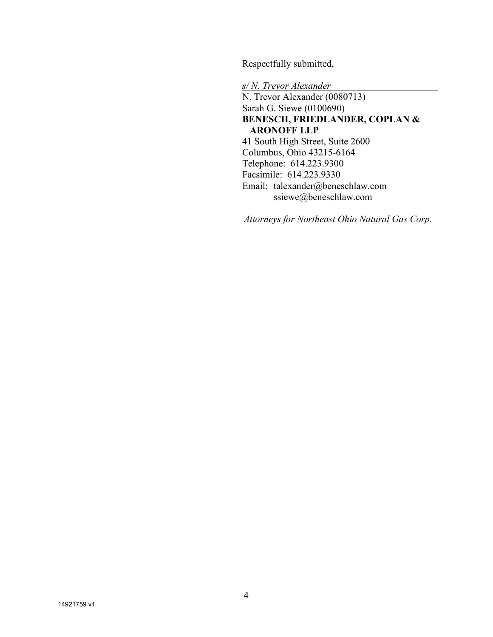Respectfully submitted,

*s/ N. Trevor Alexander* N. Trevor Alexander (0080713) Sarah G. Siewe (0100690) **BENESCH, FRIEDLANDER, COPLAN & ARONOFF LLP** 41 South High Street, Suite 2600 Columbus, Ohio 43215-6164 Telephone: 614.223.9300 Facsimile: 614.223.9330 Email: talexander@beneschlaw.com ssiewe@beneschlaw.com

*Attorneys for Northeast Ohio Natural Gas Corp.*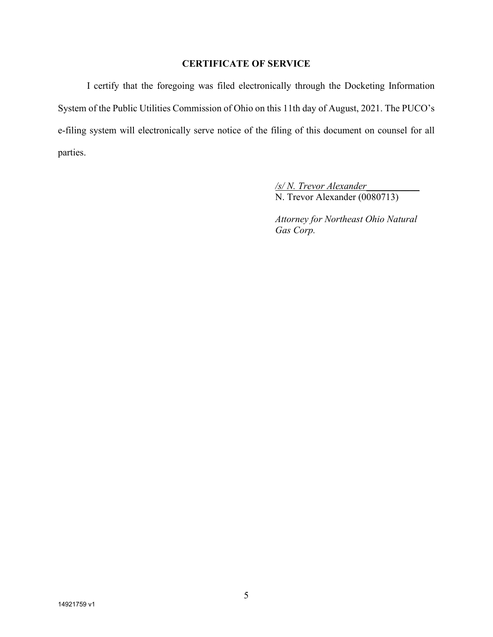## **CERTIFICATE OF SERVICE**

I certify that the foregoing was filed electronically through the Docketing Information System of the Public Utilities Commission of Ohio on this 11th day of August, 2021. The PUCO's e-filing system will electronically serve notice of the filing of this document on counsel for all parties.

> */s/ N. Trevor Alexander\_\_\_\_\_\_\_\_\_\_\_* N. Trevor Alexander (0080713)

*Attorney for Northeast Ohio Natural Gas Corp.*